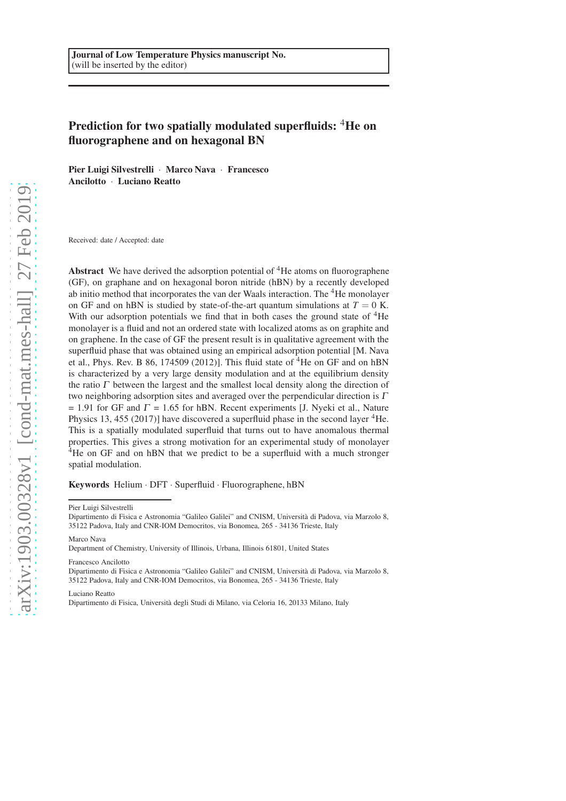# Prediction for two spatially modulated superfluids: <sup>4</sup>He on fluorographene and on hexagonal BN

Pier Luigi Silvestrelli · Marco Nava · Francesco Ancilotto · Luciano Reatto

Received: date / Accepted: date

Abstract We have derived the adsorption potential of  ${}^{4}$ He atoms on fluorographene (GF), on graphane and on hexagonal boron nitride (hBN) by a recently developed ab initio method that incorporates the van der Waals interaction. The <sup>4</sup>He monolayer on GF and on hBN is studied by state-of-the-art quantum simulations at  $T = 0$  K. With our adsorption potentials we find that in both cases the ground state of  ${}^{4}$ He monolayer is a fluid and not an ordered state with localized atoms as on graphite and on graphene. In the case of GF the present result is in qualitative agreement with the superfluid phase that was obtained using an empirical adsorption potential [M. Nava et al., Phys. Rev. B 86, 174509 (2012)]. This fluid state of  ${}^{4}$ He on GF and on hBN is characterized by a very large density modulation and at the equilibrium density the ratio  $\Gamma$  between the largest and the smallest local density along the direction of two neighboring adsorption sites and averaged over the perpendicular direction is  $\Gamma$  $= 1.91$  for GF and  $\Gamma = 1.65$  for hBN. Recent experiments [J. Nyeki et al., Nature Physics 13, 455 (2017)] have discovered a superfluid phase in the second layer  ${}^{4}$ He. This is a spatially modulated superfluid that turns out to have anomalous thermal properties. This gives a strong motivation for an experimental study of monolayer <sup>4</sup>He on GF and on hBN that we predict to be a superfluid with a much stronger spatial modulation.

Keywords Helium · DFT · Superfluid · Fluorographene, hBN

Pier Luigi Silvestrelli

Dipartimento di Fisica e Astronomia "Galileo Galilei" and CNISM, Università di Padova, via Marzolo 8. 35122 Padova, Italy and CNR-IOM Democritos, via Bonomea, 265 - 34136 Trieste, Italy

Marco Nava

Department of Chemistry, University of Illinois, Urbana, Illinois 61801, United States

#### Francesco Ancilotto

Dipartimento di Fisica e Astronomia "Galileo Galilei" and CNISM, Università di Padova, via Marzolo 8, 35122 Padova, Italy and CNR-IOM Democritos, via Bonomea, 265 - 34136 Trieste, Italy

Luciano Reatto

Dipartimento di Fisica, Università degli Studi di Milano, via Celoria 16, 20133 Milano, Italy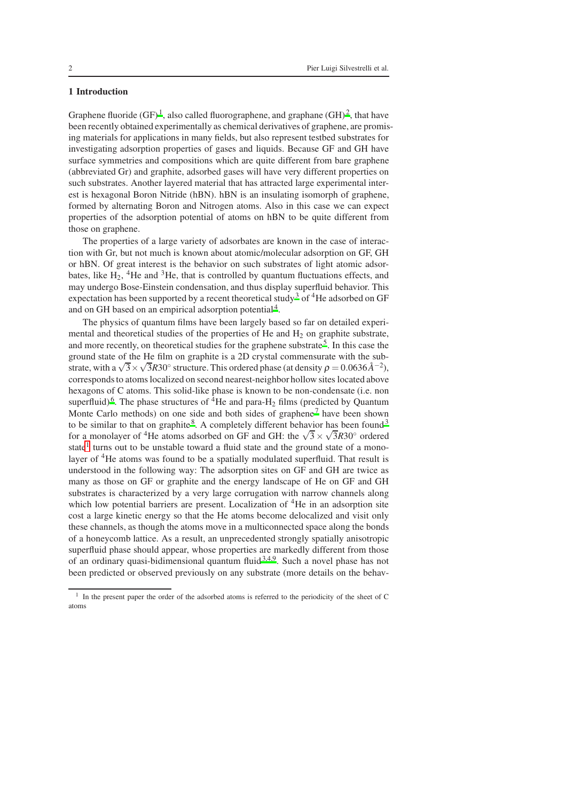### 1 Introduction

Graphene fluoride (GF)<sup>[1](#page-8-0)</sup>, also called fluorographene, and graphane (GH)<sup>[2](#page-8-1)</sup>, that have been recently obtained experimentally as chemical derivatives of graphene, are promising materials for applications in many fields, but also represent testbed substrates for investigating adsorption properties of gases and liquids. Because GF and GH have surface symmetries and compositions which are quite different from bare graphene (abbreviated Gr) and graphite, adsorbed gases will have very different properties on such substrates. Another layered material that has attracted large experimental interest is hexagonal Boron Nitride (hBN). hBN is an insulating isomorph of graphene, formed by alternating Boron and Nitrogen atoms. Also in this case we can expect properties of the adsorption potential of atoms on hBN to be quite different from those on graphene.

The properties of a large variety of adsorbates are known in the case of interaction with Gr, but not much is known about atomic/molecular adsorption on GF, GH or hBN. Of great interest is the behavior on such substrates of light atomic adsorbates, like  $H_2$ , <sup>4</sup>He and <sup>3</sup>He, that is controlled by quantum fluctuations effects, and may undergo Bose-Einstein condensation, and thus display superfluid behavior. This expectation has been supported by a recent theoretical study<sup>[3](#page-8-2)</sup> of <sup>4</sup>He adsorbed on GF and on GH based on an empirical adsorption potential<sup>[4](#page-8-3)</sup>.

The physics of quantum films have been largely based so far on detailed experimental and theoretical studies of the properties of He and  $H_2$  on graphite substrate, and more recently, on theoretical studies for the graphene substrate<sup>[5](#page-8-4)</sup>. In this case the ground state of the He film on graphite is a 2D crystal commensurate with the substrate, with a  $\sqrt{3} \times \sqrt{3}R30^\circ$  structure. This ordered phase (at density  $\rho = 0.0636 \text{\AA}^{-2}$ ), corresponds to atoms localized on second nearest-neighbor hollow sites located above hexagons of C atoms. This solid-like phase is known to be non-condensate (i.e. non superfluid)<sup>[6](#page-8-5)</sup>. The phase structures of <sup>4</sup>He and para-H<sub>2</sub> films (predicted by Quantum Monte Carlo methods) on one side and both sides of graphene<sup>[7](#page-8-6)</sup> have been shown to be similar to that on graphite<sup>[8](#page-8-7)</sup>. A completely different behavior has been found<sup>[3](#page-8-2)</sup> for a monolayer of <sup>4</sup>He atoms adsorbed on GF and GH: the  $\sqrt{3} \times \sqrt{3}R30^\circ$  ordered state<sup>[1](#page-1-0)</sup> turns out to be unstable toward a fluid state and the ground state of a monolayer of <sup>4</sup>He atoms was found to be a spatially modulated superfluid. That result is understood in the following way: The adsorption sites on GF and GH are twice as many as those on GF or graphite and the energy landscape of He on GF and GH substrates is characterized by a very large corrugation with narrow channels along which low potential barriers are present. Localization of  ${}^{4}$ He in an adsorption site cost a large kinetic energy so that the He atoms become delocalized and visit only these channels, as though the atoms move in a multiconnected space along the bonds of a honeycomb lattice. As a result, an unprecedented strongly spatially anisotropic superfluid phase should appear, whose properties are markedly different from those of an ordinary quasi-bidimensional quantum fluid $3,4,9$  $3,4,9$  $3,4,9$ . Such a novel phase has not been predicted or observed previously on any substrate (more details on the behav-

<span id="page-1-0"></span><sup>&</sup>lt;sup>1</sup> In the present paper the order of the adsorbed atoms is referred to the periodicity of the sheet of C atoms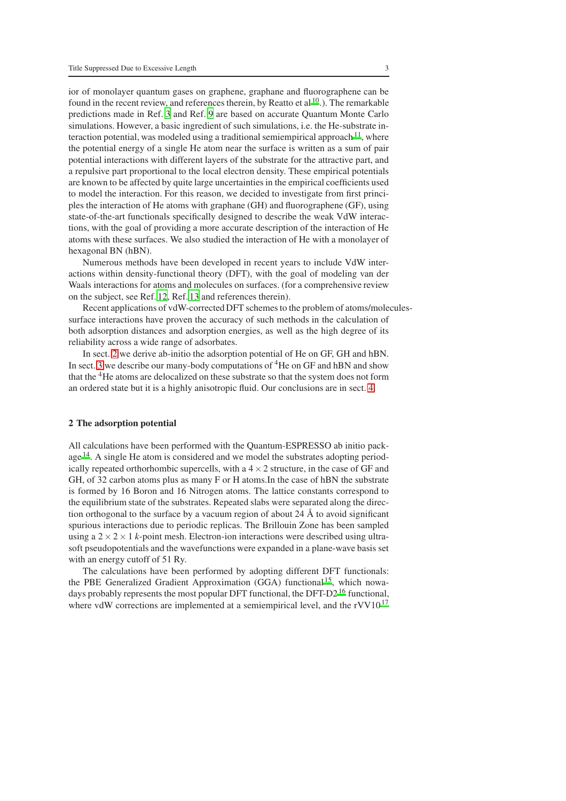ior of monolayer quantum gases on graphene, graphane and fluorographene can be found in the recent review, and references therein, by Reatto et al  $^{10}$  $^{10}$  $^{10}$ .). The remarkable predictions made in Ref. [3](#page-8-2) and Ref. [9](#page-8-8) are based on accurate Quantum Monte Carlo simulations. However, a basic ingredient of such simulations, i.e. the He-substrate in-teraction potential, was modeled using a traditional semiempirical approach<sup>[11](#page-8-10)</sup>, where the potential energy of a single He atom near the surface is written as a sum of pair potential interactions with different layers of the substrate for the attractive part, and a repulsive part proportional to the local electron density. These empirical potentials are known to be affected by quite large uncertainties in the empirical coefficients used to model the interaction. For this reason, we decided to investigate from first principles the interaction of He atoms with graphane (GH) and fluorographene (GF), using state-of-the-art functionals specifically designed to describe the weak VdW interactions, with the goal of providing a more accurate description of the interaction of He atoms with these surfaces. We also studied the interaction of He with a monolayer of hexagonal BN (hBN).

Numerous methods have been developed in recent years to include VdW interactions within density-functional theory (DFT), with the goal of modeling van der Waals interactions for atoms and molecules on surfaces. (for a comprehensive review on the subject, see Ref. [12,](#page-8-11) Ref. [13](#page-8-12) and references therein).

Recent applications of vdW-corrected DFT schemes to the problem of atoms/moleculessurface interactions have proven the accuracy of such methods in the calculation of both adsorption distances and adsorption energies, as well as the high degree of its reliability across a wide range of adsorbates.

In sect. [2](#page-2-0) we derive ab-initio the adsorption potential of He on GF, GH and hBN. In sect. [3](#page-5-0) we describe our many-body computations of <sup>4</sup>He on GF and hBN and show that the <sup>4</sup>He atoms are delocalized on these substrate so that the system does not form an ordered state but it is a highly anisotropic fluid. Our conclusions are in sect. [4.](#page-6-0)

### <span id="page-2-0"></span>2 The adsorption potential

All calculations have been performed with the Quantum-ESPRESSO ab initio package [14](#page-8-13). A single He atom is considered and we model the substrates adopting periodically repeated orthorhombic supercells, with a  $4 \times 2$  structure, in the case of GF and GH, of 32 carbon atoms plus as many F or H atoms.In the case of hBN the substrate is formed by 16 Boron and 16 Nitrogen atoms. The lattice constants correspond to the equilibrium state of the substrates. Repeated slabs were separated along the direction orthogonal to the surface by a vacuum region of about 24  $\AA$  to avoid significant spurious interactions due to periodic replicas. The Brillouin Zone has been sampled using a  $2 \times 2 \times 1$  *k*-point mesh. Electron-ion interactions were described using ultrasoft pseudopotentials and the wavefunctions were expanded in a plane-wave basis set with an energy cutoff of 51 Ry.

The calculations have been performed by adopting different DFT functionals: the PBE Generalized Gradient Approximation  $(GGA)$  functional<sup>[15](#page-8-14)</sup>, which nowa-days probably represents the most popular DFT functional, the DFT-D2<sup>[16](#page-8-15)</sup> functional, where vdW corrections are implemented at a semiempirical level, and the  $rVV10^{17}$  $rVV10^{17}$  $rVV10^{17}$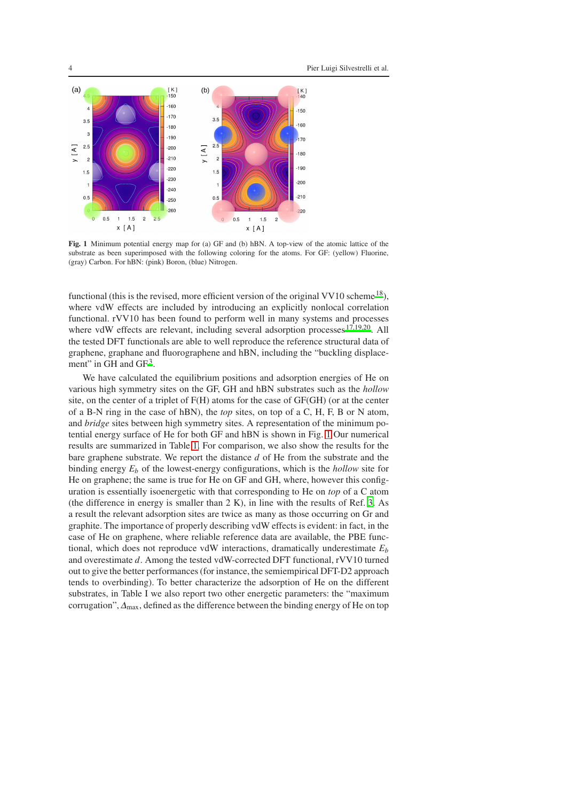

<span id="page-3-0"></span>Fig. 1 Minimum potential energy map for (a) GF and (b) hBN. A top-view of the atomic lattice of the substrate as been superimposed with the following coloring for the atoms. For GF: (yellow) Fluorine, (gray) Carbon. For hBN: (pink) Boron, (blue) Nitrogen.

functional (this is the revised, more efficient version of the original VV10 scheme  $^{18}$  $^{18}$  $^{18}$ ), where vdW effects are included by introducing an explicitly nonlocal correlation functional. rVV10 has been found to perform well in many systems and processes where vdW effects are relevant, including several adsorption processes  $^{17,19,20}$  $^{17,19,20}$  $^{17,19,20}$  $^{17,19,20}$  $^{17,19,20}$ . All the tested DFT functionals are able to well reproduce the reference structural data of graphene, graphane and fluorographene and hBN, including the "buckling displace-ment" in GH and GF<sup>[3](#page-8-2)</sup>.

We have calculated the equilibrium positions and adsorption energies of He on various high symmetry sites on the GF, GH and hBN substrates such as the *hollow* site, on the center of a triplet of F(H) atoms for the case of GF(GH) (or at the center of a B-N ring in the case of hBN), the *top* sites, on top of a C, H, F, B or N atom, and *bridge* sites between high symmetry sites. A representation of the minimum potential energy surface of He for both GF and hBN is shown in Fig. [1](#page-3-0) Our numerical results are summarized in Table [1.](#page-4-0) For comparison, we also show the results for the bare graphene substrate. We report the distance *d* of He from the substrate and the binding energy  $E_b$  of the lowest-energy configurations, which is the *hollow* site for He on graphene; the same is true for He on GF and GH, where, however this configuration is essentially isoenergetic with that corresponding to He on *top* of a C atom (the difference in energy is smaller than 2 K), in line with the results of Ref. [3](#page-8-2). As a result the relevant adsorption sites are twice as many as those occurring on Gr and graphite. The importance of properly describing vdW effects is evident: in fact, in the case of He on graphene, where reliable reference data are available, the PBE functional, which does not reproduce vdW interactions, dramatically underestimate *E<sup>b</sup>* and overestimate *d*. Among the tested vdW-corrected DFT functional, rVV10 turned out to give the better performances (for instance, the semiempirical DFT-D2 approach tends to overbinding). To better characterize the adsorption of He on the different substrates, in Table I we also report two other energetic parameters: the "maximum corrugation",  $\Delta_{\text{max}}$ , defined as the difference between the binding energy of He on top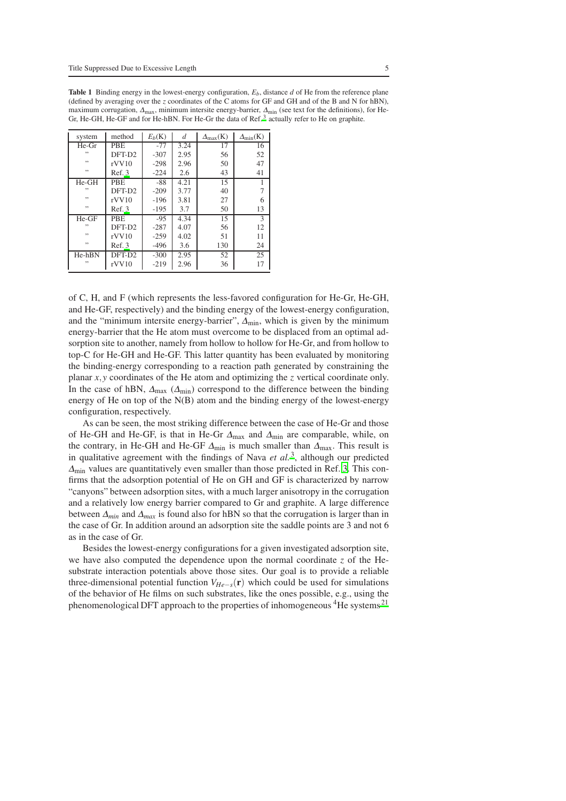| system   | method             | $E_b(K)$ | d    | $\Delta_{\text{max}}(K)$ | $\Delta_{\min}(\mathbf{K})$ |
|----------|--------------------|----------|------|--------------------------|-----------------------------|
| He-Gr    | <b>PBE</b>         | $-77$    | 3.24 | 17                       | 16                          |
| ,,       | DFT-D <sub>2</sub> | $-307$   | 2.95 | 56                       | 52                          |
| , ,      | rVV10              | $-298$   | 2.96 | 50                       | 47                          |
| , ,      | Ref.3              | $-224$   | 2.6  | 43                       | 41                          |
| $He-GH$  | <b>PBE</b>         | $-88$    | 4.21 | 15                       |                             |
| ,,       | DFT-D <sub>2</sub> | $-209$   | 3.77 | 40                       |                             |
| , ,      | rVV10              | $-196$   | 3.81 | 27                       | 6                           |
| , ,      | Ref.3              | $-195$   | 3.7  | 50                       | 13                          |
| $He-GF$  | <b>PBE</b>         | $-9.5$   | 4.34 | 15                       | 3                           |
| ,,       | DFT-D <sub>2</sub> | $-287$   | 4.07 | 56                       | 12                          |
| , ,      | rVV10              | $-259$   | 4.02 | 51                       | 11                          |
| , ,      | Ref.3              | $-496$   | 3.6  | 130                      | 24                          |
| $He-hBN$ | DFT-D <sub>2</sub> | $-300$   | 2.95 | 52                       | 25                          |
| ,,       | rVV10              | $-219$   | 2.96 | 36                       | 17                          |

<span id="page-4-0"></span>Table 1 Binding energy in the lowest-energy configuration, *Eb*, distance *d* of He from the reference plane (defined by averaging over the *z* coordinates of the C atoms for GF and GH and of the B and N for hBN), maximum corrugation, <sup>∆</sup>max, minimum intersite energy-barrier, <sup>∆</sup>min (see text for the definitions), for He-Gr, He-GH, He-GF and for He-hBN. For He-Gr the data of Ref.<sup>[3](#page-8-2)</sup> actually refer to He on graphite.

of C, H, and F (which represents the less-favored configuration for He-Gr, He-GH, and He-GF, respectively) and the binding energy of the lowest-energy configuration, and the "minimum intersite energy-barrier",  $\Delta_{\text{min}}$ , which is given by the minimum energy-barrier that the He atom must overcome to be displaced from an optimal adsorption site to another, namely from hollow to hollow for He-Gr, and from hollow to top-C for He-GH and He-GF. This latter quantity has been evaluated by monitoring the binding-energy corresponding to a reaction path generated by constraining the planar *x*,*y* coordinates of the He atom and optimizing the *z* vertical coordinate only. In the case of hBN,  $\Delta_{\text{max}}$  ( $\Delta_{\text{min}}$ ) correspond to the difference between the binding energy of He on top of the N(B) atom and the binding energy of the lowest-energy configuration, respectively.

As can be seen, the most striking difference between the case of He-Gr and those of He-GH and He-GF, is that in He-Gr  $\Delta_{\text{max}}$  and  $\Delta_{\text{min}}$  are comparable, while, on the contrary, in He-GH and He-GF  $\Delta_{\text{min}}$  is much smaller than  $\Delta_{\text{max}}$ . This result is in qualitative agreement with the findings of Nava et al.<sup>[3](#page-8-2)</sup>, although our predicted  $\Delta_{\text{min}}$  values are quantitatively even smaller than those predicted in Ref. [3](#page-8-2). This confirms that the adsorption potential of He on GH and GF is characterized by narrow "canyons" between adsorption sites, with a much larger anisotropy in the corrugation and a relatively low energy barrier compared to Gr and graphite. A large difference between <sup>∆</sup>*min* and <sup>∆</sup>*max* is found also for hBN so that the corrugation is larger than in the case of Gr. In addition around an adsorption site the saddle points are 3 and not 6 as in the case of Gr.

Besides the lowest-energy configurations for a given investigated adsorption site, we have also computed the dependence upon the normal coordinate *z* of the Hesubstrate interaction potentials above those sites. Our goal is to provide a reliable three-dimensional potential function  $V_{He-s}(\mathbf{r})$  which could be used for simulations of the behavior of He films on such substrates, like the ones possible, e.g., using the phenomenological DFT approach to the properties of inhomogeneous  ${}^{4}$ He systems<sup>[21](#page-8-20)</sup>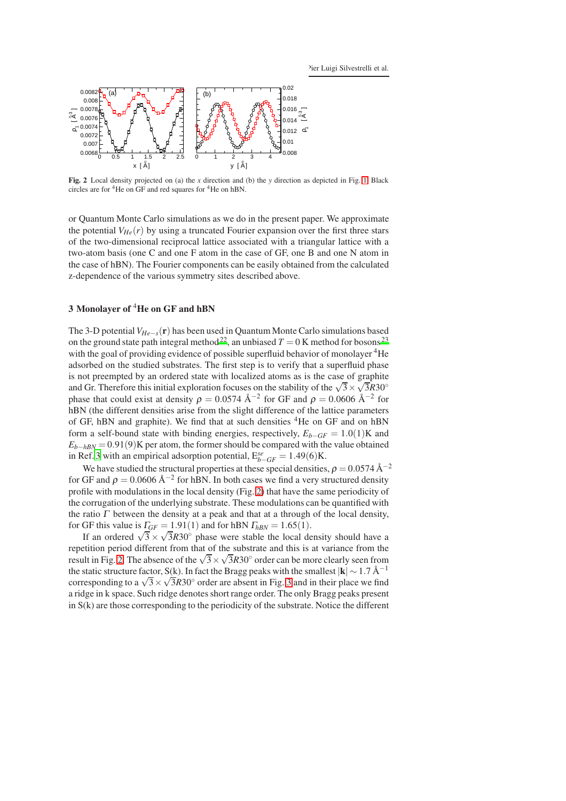

<span id="page-5-1"></span>Fig. 2 Local density projected on (a) the *x* direction and (b) the *y* direction as depicted in Fig. [1.](#page-3-0) Black circles are for <sup>4</sup>He on GF and red squares for <sup>4</sup>He on hBN.

or Quantum Monte Carlo simulations as we do in the present paper. We approximate the potential  $V_{H_e}(r)$  by using a truncated Fourier expansion over the first three stars of the two-dimensional reciprocal lattice associated with a triangular lattice with a two-atom basis (one C and one F atom in the case of GF, one B and one N atom in the case of hBN). The Fourier components can be easily obtained from the calculated z-dependence of the various symmetry sites described above.

# <span id="page-5-0"></span>3 Monolayer of <sup>4</sup>He on GF and hBN

The 3-D potential*VHe*−*s*(r) has been used in Quantum Monte Carlo simulations based on the ground state path integral method<sup>[22](#page-8-21)</sup>, an unbiased  $T = 0$  K method for bosons<sup>[23](#page-8-22)</sup> with the goal of providing evidence of possible superfluid behavior of monolayer <sup>4</sup>He adsorbed on the studied substrates. The first step is to verify that a superfluid phase is not preempted by an ordered state with localized atoms as is the case of graphite and Gr. Therefore this initial exploration focuses on the stability of the  $\sqrt{3} \times \sqrt{3}R30^\circ$ phase that could exist at density  $\rho = 0.0574 \text{ Å}^{-2}$  for GF and  $\rho = 0.0606 \text{ Å}^{-2}$  for hBN (the different densities arise from the slight difference of the lattice parameters of GF, hBN and graphite). We find that at such densities <sup>4</sup>He on GF and on hBN form a self-bound state with binding energies, respectively,  $E_{b-GF} = 1.0(1)$ K and  $E_{b-hBN} = 0.91(9)$ K per atom, the former should be compared with the value obtained in Ref. [3](#page-8-2) with an empirical adsorption potential,  $E_{b-GF}^{se} = 1.49(6)$ K.

We have studied the structural properties at these special densities,  $\rho = 0.0574 \text{ Å}^{-2}$ for GF and  $\rho = 0.0606 \text{ Å}^{-2}$  for hBN. In both cases we find a very structured density profile with modulations in the local density (Fig. [2\)](#page-5-1) that have the same periodicity of the corrugation of the underlying substrate. These modulations can be quantified with the ratio  $\Gamma$  between the density at a peak and that at a through of the local density, for GF this value is  $\Gamma_{GF} = 1.91(1)$  and for hBN  $\Gamma_{hBN} = 1.65(1)$ .

If an ordered  $\sqrt{3} \times \sqrt{3R}30^\circ$  phase were stable the local density should have a repetition period different from that of the substrate and this is at variance from the result in Fig. [2.](#page-5-1) The absence of the  $\sqrt{3} \times \sqrt{3}R30^\circ$  order can be more clearly seen from the static structure factor, S(k). In fact the Bragg peaks with the smallest  $|{\bf k}| \sim 1.7 \text{ Å}^{-1}$ corresponding to a  $\sqrt{3} \times \sqrt{3R}30^\circ$  order are absent in Fig. [3](#page-6-1) and in their place we find a ridge in k space. Such ridge denotes short range order. The only Bragg peaks present in S(k) are those corresponding to the periodicity of the substrate. Notice the different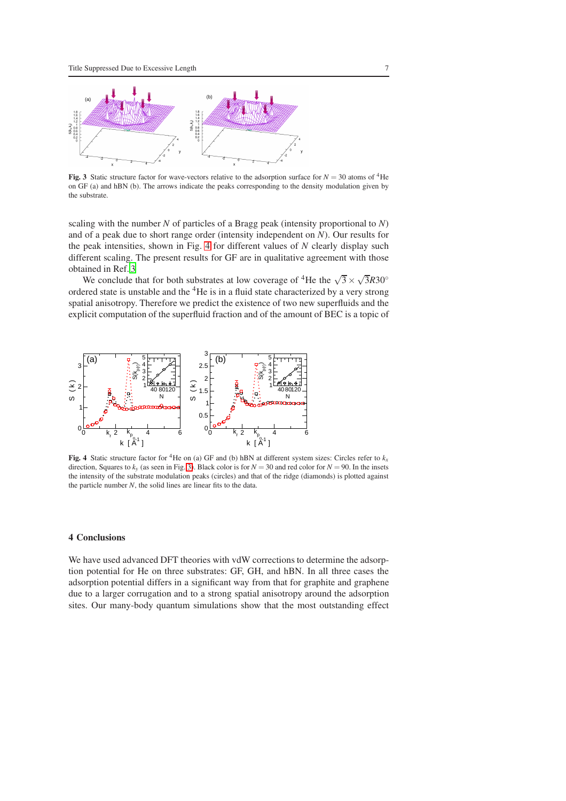

<span id="page-6-1"></span>Fig. 3 Static structure factor for wave-vectors relative to the adsorption surface for  $N = 30$  atoms of <sup>4</sup>He on GF (a) and hBN (b). The arrows indicate the peaks corresponding to the density modulation given by the substrate.

scaling with the number *N* of particles of a Bragg peak (intensity proportional to *N*) and of a peak due to short range order (intensity independent on *N*). Our results for the peak intensities, shown in Fig. [4](#page-6-2) for different values of *N* clearly display such different scaling. The present results for GF are in qualitative agreement with those obtained in Ref. [3](#page-8-2)

We conclude that for both substrates at low coverage of <sup>4</sup>He the  $\sqrt{3} \times \sqrt{3}R30^\circ$ ordered state is unstable and the  ${}^{4}$ He is in a fluid state characterized by a very strong spatial anisotropy. Therefore we predict the existence of two new superfluids and the explicit computation of the superfluid fraction and of the amount of BEC is a topic of



<span id="page-6-2"></span>Fig. 4 Static structure factor for <sup>4</sup>He on (a) GF and (b) hBN at different system sizes: Circles refer to  $k_x$ direction, Squares to  $k_y$  (as seen in Fig. [3\)](#page-6-1). Black color is for  $N = 30$  and red color for  $N = 90$ . In the insets the intensity of the substrate modulation peaks (circles) and that of the ridge (diamonds) is plotted against the particle number *N*, the solid lines are linear fits to the data.

## <span id="page-6-0"></span>4 Conclusions

We have used advanced DFT theories with vdW corrections to determine the adsorption potential for He on three substrates: GF, GH, and hBN. In all three cases the adsorption potential differs in a significant way from that for graphite and graphene due to a larger corrugation and to a strong spatial anisotropy around the adsorption sites. Our many-body quantum simulations show that the most outstanding effect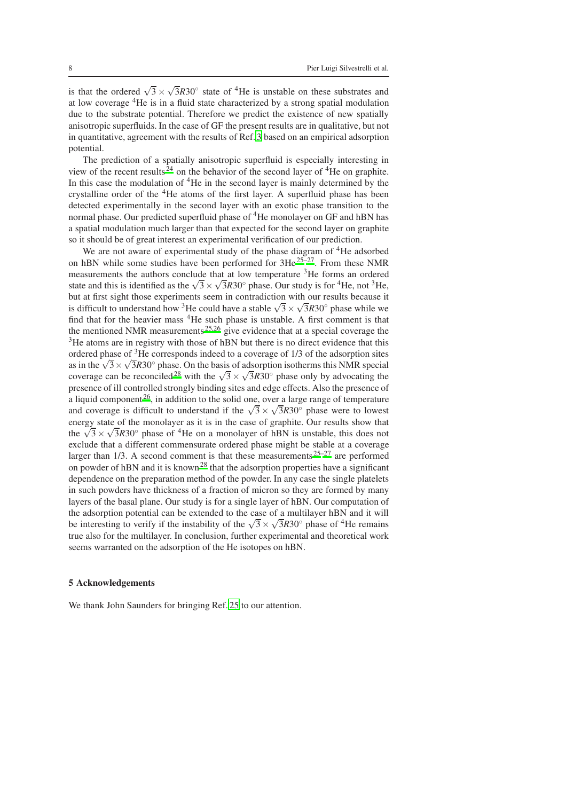is that the ordered  $\sqrt{3} \times \sqrt{3}R30^\circ$  state of <sup>4</sup>He is unstable on these substrates and at low coverage <sup>4</sup>He is in a fluid state characterized by a strong spatial modulation due to the substrate potential. Therefore we predict the existence of new spatially anisotropic superfluids. In the case of GF the present results are in qualitative, but not in quantitative, agreement with the results of Ref. [3](#page-8-2) based on an empirical adsorption potential.

The prediction of a spatially anisotropic superfluid is especially interesting in view of the recent results<sup> $24$ </sup> on the behavior of the second layer of <sup>4</sup>He on graphite. In this case the modulation of <sup>4</sup>He in the second layer is mainly determined by the crystalline order of the  ${}^{4}$ He atoms of the first layer. A superfluid phase has been detected experimentally in the second layer with an exotic phase transition to the normal phase. Our predicted superfluid phase of <sup>4</sup>He monolayer on GF and hBN has a spatial modulation much larger than that expected for the second layer on graphite so it should be of great interest an experimental verification of our prediction.

We are not aware of experimental study of the phase diagram of <sup>4</sup>He adsorbed on hBN while some studies have been performed for  $3He^{25-27}$  $3He^{25-27}$  $3He^{25-27}$ . From these NMR measurements the authors conclude that at low temperature <sup>3</sup>He forms an ordered state and this is identified as the  $\sqrt{3} \times \sqrt{3}R30^\circ$  phase. Our study is for <sup>4</sup>He, not <sup>3</sup>He, but at first sight those experiments seem in contradiction with our results because it is difficult to understand how <sup>3</sup>He could have a stable  $\sqrt{3} \times \sqrt{3}R30^\circ$  phase while we find that for the heavier mass <sup>4</sup>He such phase is unstable. A first comment is that the mentioned NMR measurements<sup>[25](#page-8-24)[,26](#page-8-26)</sup> give evidence that at a special coverage the <sup>3</sup>He atoms are in registry with those of hBN but there is no direct evidence that this ordered phase of <sup>3</sup>He corresponds indeed to a coverage of 1/3 of the adsorption sites as in the  $\sqrt{3} \times \sqrt{3R}30^\circ$  phase. On the basis of adsorption isotherms this NMR special coverage can be reconciled<sup>[28](#page-8-27)</sup> with the  $\sqrt{3} \times \sqrt{3}R30^\circ$  phase only by advocating the presence of ill controlled strongly binding sites and edge effects. Also the presence of a liquid component  $26$ , in addition to the solid one, over a large range of temperature and coverage is difficult to understand if the  $\sqrt{3} \times \sqrt{3}R30^\circ$  phase were to lowest energy state of the monolayer as it is in the case of graphite. Our results show that the  $\sqrt{3} \times \sqrt{3}R30^\circ$  phase of <sup>4</sup>He on a monolayer of hBN is unstable, this does not exclude that a different commensurate ordered phase might be stable at a coverage larger than  $1/3$ . A second comment is that these measurements  $25-27$  $25-27$  are performed on powder of hBN and it is known<sup>[28](#page-8-27)</sup> that the adsorption properties have a significant dependence on the preparation method of the powder. In any case the single platelets in such powders have thickness of a fraction of micron so they are formed by many layers of the basal plane. Our study is for a single layer of hBN. Our computation of the adsorption potential can be extended to the case of a multilayer hBN and it will be interesting to verify if the instability of the  $\sqrt{3} \times \sqrt{3}R30^\circ$  phase of <sup>4</sup>He remains true also for the multilayer. In conclusion, further experimental and theoretical work seems warranted on the adsorption of the He isotopes on hBN.

### 5 Acknowledgements

We thank John Saunders for bringing Ref. [25](#page-8-24) to our attention.